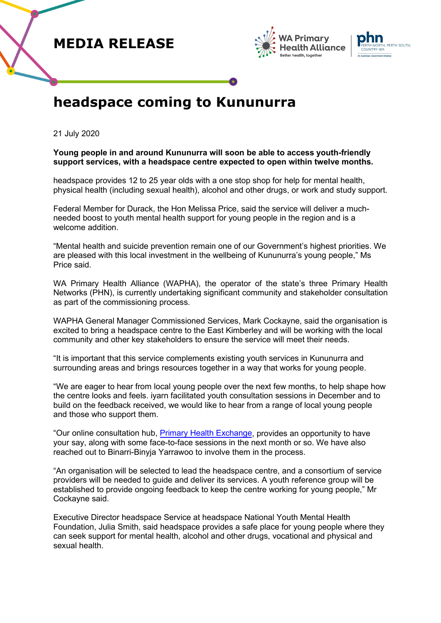





## **headspace coming to Kununurra**

21 July 2020

## **Young people in and around Kununurra will soon be able to access youth-friendly support services, with a headspace centre expected to open within twelve months.**

headspace provides 12 to 25 year olds with a one stop shop for help for mental health, physical health (including sexual health), alcohol and other drugs, or work and study support.

Federal Member for Durack, the Hon Melissa Price, said the service will deliver a muchneeded boost to youth mental health support for young people in the region and is a welcome addition.

"Mental health and suicide prevention remain one of our Government's highest priorities. We are pleased with this local investment in the wellbeing of Kununurra's young people," Ms Price said.

WA Primary Health Alliance (WAPHA), the operator of the state's three Primary Health Networks (PHN), is currently undertaking significant community and stakeholder consultation as part of the commissioning process.

WAPHA General Manager Commissioned Services, Mark Cockayne, said the organisation is excited to bring a headspace centre to the East Kimberley and will be working with the local community and other key stakeholders to ensure the service will meet their needs.

"It is important that this service complements existing youth services in Kununurra and surrounding areas and brings resources together in a way that works for young people.

"We are eager to hear from local young people over the next few months, to help shape how the centre looks and feels. iyarn facilitated youth consultation sessions in December and to build on the feedback received, we would like to hear from a range of local young people and those who support them.

"Our online consultation hub, [Primary Health Exchange,](https://phexchange.wapha.org.au/headspace-kununurra) provides an opportunity to have your say, along with some face-to-face sessions in the next month or so. We have also reached out to Binarri-Binyja Yarrawoo to involve them in the process.

"An organisation will be selected to lead the headspace centre, and a consortium of service providers will be needed to guide and deliver its services. A youth reference group will be established to provide ongoing feedback to keep the centre working for young people," Mr Cockayne said.

Executive Director headspace Service at headspace National Youth Mental Health Foundation, Julia Smith, said headspace provides a safe place for young people where they can seek support for mental health, alcohol and other drugs, vocational and physical and sexual health.